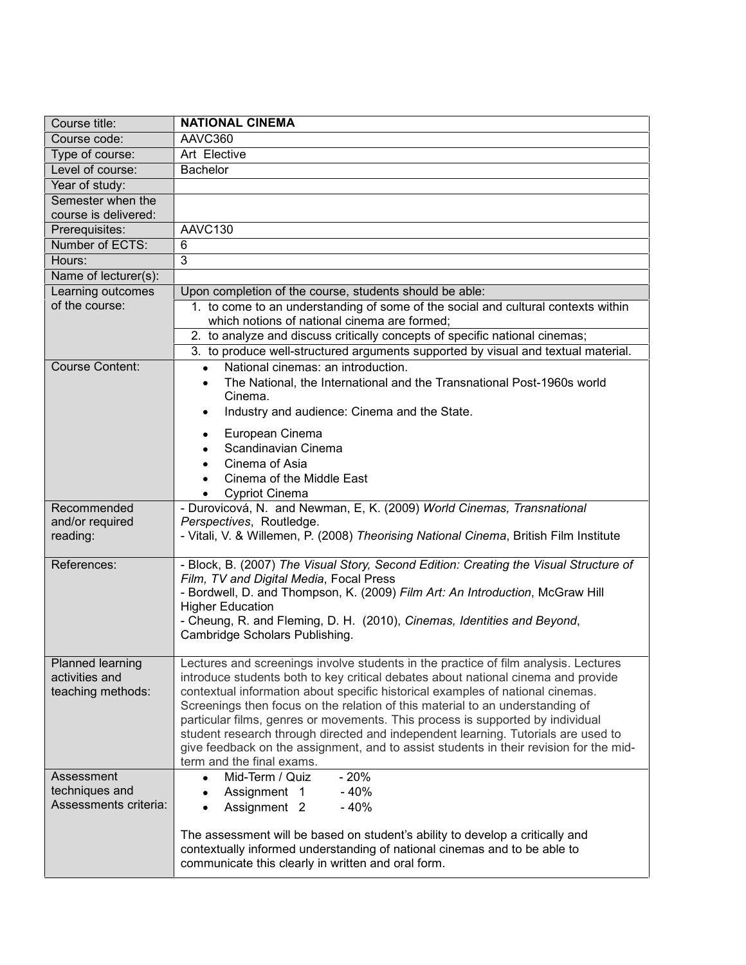| Course title:                                                                     | <b>NATIONAL CINEMA</b>                                                                                                                                                   |  |  |
|-----------------------------------------------------------------------------------|--------------------------------------------------------------------------------------------------------------------------------------------------------------------------|--|--|
| Course code:                                                                      | AAVC360                                                                                                                                                                  |  |  |
| Type of course:                                                                   | <b>Art Elective</b>                                                                                                                                                      |  |  |
| Level of course:                                                                  | <b>Bachelor</b>                                                                                                                                                          |  |  |
| Year of study:                                                                    |                                                                                                                                                                          |  |  |
| Semester when the                                                                 |                                                                                                                                                                          |  |  |
| course is delivered:                                                              |                                                                                                                                                                          |  |  |
| Prerequisites:                                                                    | AAVC130                                                                                                                                                                  |  |  |
| Number of ECTS:                                                                   | 6                                                                                                                                                                        |  |  |
| Hours:                                                                            | 3                                                                                                                                                                        |  |  |
| Name of lecturer(s):                                                              |                                                                                                                                                                          |  |  |
| Learning outcomes                                                                 | Upon completion of the course, students should be able:                                                                                                                  |  |  |
| of the course:                                                                    | 1. to come to an understanding of some of the social and cultural contexts within<br>which notions of national cinema are formed;                                        |  |  |
|                                                                                   | 2. to analyze and discuss critically concepts of specific national cinemas;                                                                                              |  |  |
|                                                                                   | 3. to produce well-structured arguments supported by visual and textual material.                                                                                        |  |  |
| <b>Course Content:</b>                                                            | National cinemas: an introduction.<br>$\bullet$                                                                                                                          |  |  |
|                                                                                   | The National, the International and the Transnational Post-1960s world                                                                                                   |  |  |
|                                                                                   | Cinema.                                                                                                                                                                  |  |  |
|                                                                                   | Industry and audience: Cinema and the State.<br>$\bullet$                                                                                                                |  |  |
|                                                                                   | European Cinema<br>$\bullet$                                                                                                                                             |  |  |
| Scandinavian Cinema                                                               |                                                                                                                                                                          |  |  |
|                                                                                   | Cinema of Asia                                                                                                                                                           |  |  |
|                                                                                   | Cinema of the Middle East                                                                                                                                                |  |  |
|                                                                                   | <b>Cypriot Cinema</b>                                                                                                                                                    |  |  |
| Recommended                                                                       | - Durovicová, N. and Newman, E, K. (2009) World Cinemas, Transnational                                                                                                   |  |  |
| and/or required                                                                   | Perspectives, Routledge.                                                                                                                                                 |  |  |
| reading:                                                                          | - Vitali, V. & Willemen, P. (2008) Theorising National Cinema, British Film Institute                                                                                    |  |  |
| References:                                                                       | - Block, B. (2007) The Visual Story, Second Edition: Creating the Visual Structure of                                                                                    |  |  |
|                                                                                   | Film, TV and Digital Media, Focal Press                                                                                                                                  |  |  |
|                                                                                   | - Bordwell, D. and Thompson, K. (2009) Film Art: An Introduction, McGraw Hill<br><b>Higher Education</b>                                                                 |  |  |
|                                                                                   |                                                                                                                                                                          |  |  |
|                                                                                   | - Cheung, R. and Fleming, D. H. (2010), Cinemas, Identities and Beyond,                                                                                                  |  |  |
|                                                                                   | Cambridge Scholars Publishing.                                                                                                                                           |  |  |
|                                                                                   |                                                                                                                                                                          |  |  |
| Planned learning<br>activities and                                                | Lectures and screenings involve students in the practice of film analysis. Lectures<br>introduce students both to key critical debates about national cinema and provide |  |  |
| teaching methods:                                                                 | contextual information about specific historical examples of national cinemas.                                                                                           |  |  |
|                                                                                   | Screenings then focus on the relation of this material to an understanding of                                                                                            |  |  |
|                                                                                   | particular films, genres or movements. This process is supported by individual                                                                                           |  |  |
| student research through directed and independent learning. Tutorials are used to |                                                                                                                                                                          |  |  |
|                                                                                   | give feedback on the assignment, and to assist students in their revision for the mid-                                                                                   |  |  |
|                                                                                   | term and the final exams.                                                                                                                                                |  |  |
| Assessment<br>techniques and                                                      | Mid-Term / Quiz<br>$-20%$<br>$\bullet$                                                                                                                                   |  |  |
| Assessments criteria:                                                             | $-40%$<br>Assignment 1<br>$\bullet$<br>Assignment 2<br>$-40%$                                                                                                            |  |  |
|                                                                                   | $\bullet$                                                                                                                                                                |  |  |
|                                                                                   | The assessment will be based on student's ability to develop a critically and                                                                                            |  |  |
|                                                                                   | contextually informed understanding of national cinemas and to be able to                                                                                                |  |  |
|                                                                                   | communicate this clearly in written and oral form.                                                                                                                       |  |  |
|                                                                                   |                                                                                                                                                                          |  |  |